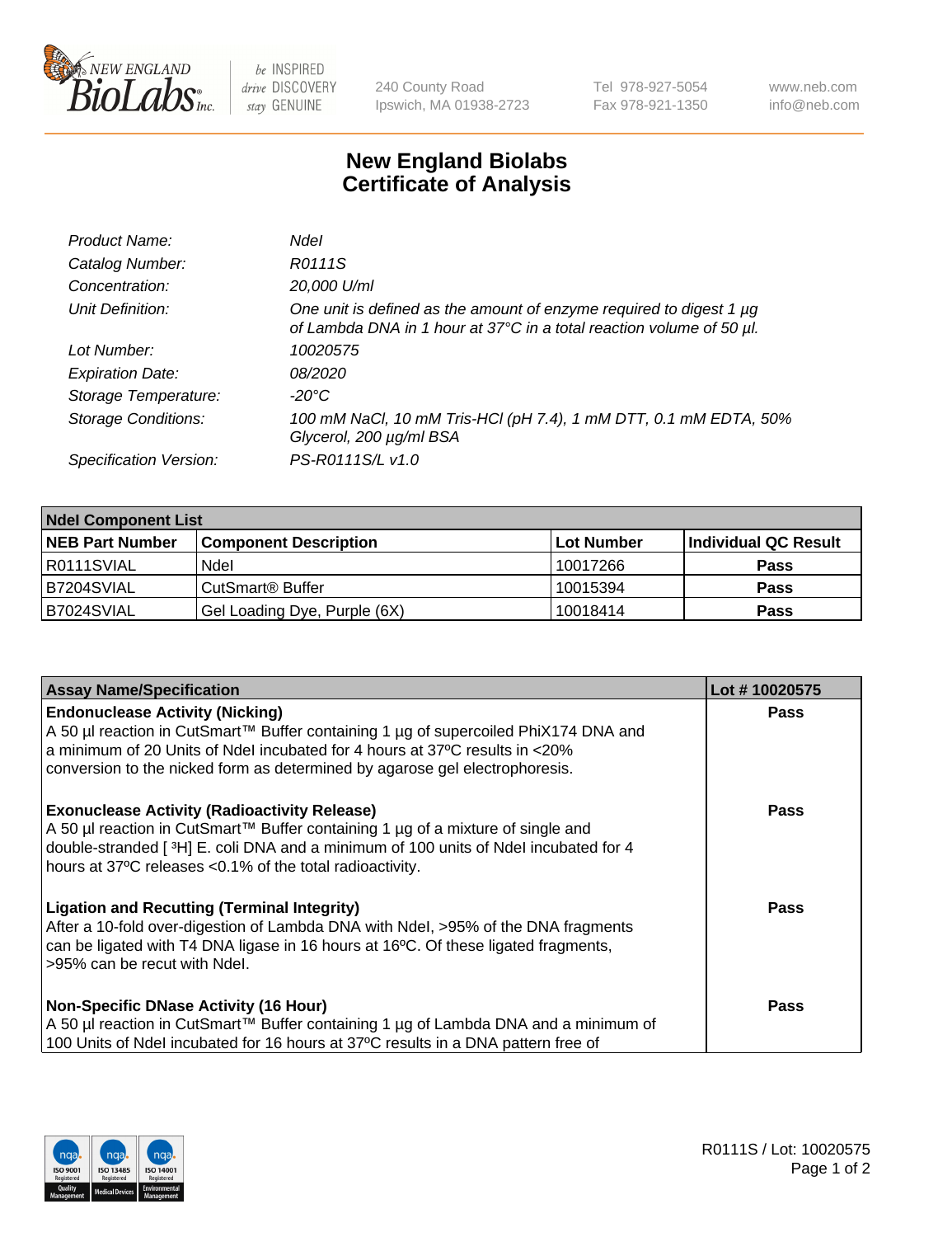

 $be$  INSPIRED drive DISCOVERY stay GENUINE

240 County Road Ipswich, MA 01938-2723 Tel 978-927-5054 Fax 978-921-1350 www.neb.com info@neb.com

## **New England Biolabs Certificate of Analysis**

| Product Name:              | <b>Ndel</b>                                                                                                                                      |
|----------------------------|--------------------------------------------------------------------------------------------------------------------------------------------------|
| Catalog Number:            | R0111S                                                                                                                                           |
| Concentration:             | 20,000 U/ml                                                                                                                                      |
| Unit Definition:           | One unit is defined as the amount of enzyme required to digest 1 $\mu$ g<br>of Lambda DNA in 1 hour at 37°C in a total reaction volume of 50 µl. |
| Lot Number:                | 10020575                                                                                                                                         |
| <b>Expiration Date:</b>    | 08/2020                                                                                                                                          |
| Storage Temperature:       | -20°C                                                                                                                                            |
| <b>Storage Conditions:</b> | 100 mM NaCl, 10 mM Tris-HCl (pH 7.4), 1 mM DTT, 0.1 mM EDTA, 50%<br>Glycerol, 200 µg/ml BSA                                                      |
| Specification Version:     | PS-R0111S/L v1.0                                                                                                                                 |

| <b>Ndel Component List</b> |                              |            |                      |  |  |
|----------------------------|------------------------------|------------|----------------------|--|--|
| <b>NEB Part Number</b>     | <b>Component Description</b> | Lot Number | Individual QC Result |  |  |
| R0111SVIAL                 | Ndel                         | 10017266   | <b>Pass</b>          |  |  |
| B7204SVIAL                 | CutSmart <sup>®</sup> Buffer | 10015394   | <b>Pass</b>          |  |  |
| B7024SVIAL                 | Gel Loading Dye, Purple (6X) | 10018414   | <b>Pass</b>          |  |  |

| <b>Assay Name/Specification</b>                                                                                                                                                                                                                                                             | Lot #10020575 |
|---------------------------------------------------------------------------------------------------------------------------------------------------------------------------------------------------------------------------------------------------------------------------------------------|---------------|
| <b>Endonuclease Activity (Nicking)</b><br>A 50 µl reaction in CutSmart™ Buffer containing 1 µg of supercoiled PhiX174 DNA and                                                                                                                                                               | <b>Pass</b>   |
| a minimum of 20 Units of Ndel incubated for 4 hours at 37°C results in <20%<br>conversion to the nicked form as determined by agarose gel electrophoresis.                                                                                                                                  |               |
| <b>Exonuclease Activity (Radioactivity Release)</b><br>  A 50 µl reaction in CutSmart™ Buffer containing 1 µg of a mixture of single and<br>double-stranded [3H] E. coli DNA and a minimum of 100 units of Ndel incubated for 4<br>hours at 37°C releases <0.1% of the total radioactivity. | Pass          |
| <b>Ligation and Recutting (Terminal Integrity)</b><br>After a 10-fold over-digestion of Lambda DNA with Ndel, >95% of the DNA fragments<br>can be ligated with T4 DNA ligase in 16 hours at 16 $\degree$ C. Of these ligated fragments,<br>l >95% can be recut with Ndel.                   | Pass          |
| <b>Non-Specific DNase Activity (16 Hour)</b><br>A 50 µl reaction in CutSmart™ Buffer containing 1 µg of Lambda DNA and a minimum of<br>100 Units of Ndel incubated for 16 hours at 37°C results in a DNA pattern free of                                                                    | Pass          |